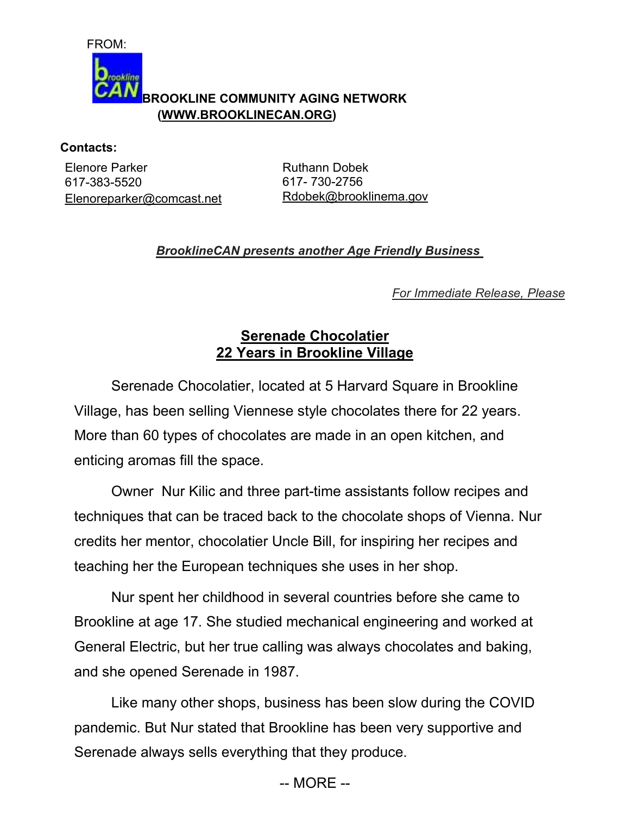

aokline

## **BROOKLINE COMMUNITY AGING NETWORK (WWW.BROOKLINECAN.ORG)**

## **Contacts:**

Elenore Parker 617-383-5520 Elenoreparker@comcast.net

Ruthann Dobek 617- 730-2756 Rdobek@brooklinema.gov

## *BrooklineCAN presents another Age Friendly Business*

*For Immediate Release, Please*

## **Serenade Chocolatier 22 Years in Brookline Village**

 Serenade Chocolatier, located at 5 Harvard Square in Brookline Village, has been selling Viennese style chocolates there for 22 years. More than 60 types of chocolates are made in an open kitchen, and enticing aromas fill the space.

 Owner Nur Kilic and three part-time assistants follow recipes and techniques that can be traced back to the chocolate shops of Vienna. Nur credits her mentor, chocolatier Uncle Bill, for inspiring her recipes and teaching her the European techniques she uses in her shop.

 Nur spent her childhood in several countries before she came to Brookline at age 17. She studied mechanical engineering and worked at General Electric, but her true calling was always chocolates and baking, and she opened Serenade in 1987.

 Like many other shops, business has been slow during the COVID pandemic. But Nur stated that Brookline has been very supportive and Serenade always sells everything that they produce.